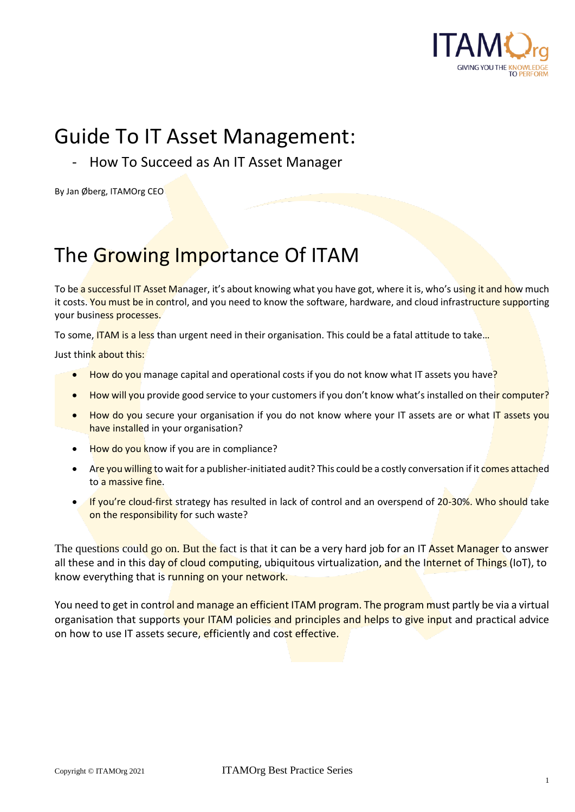

# Guide To IT Asset Management:

- How To Succeed as An IT Asset Manager

By Jan Øberg, ITAMOrg CEO

# The Growing Importance Of ITAM

To be a successful IT Asset Manager, it's about knowing what you have got, where it is, who's using it and how much it costs. You must be in control, and you need to know the software, hardware, and cloud infrastructure supporting your business processes.

To some, ITAM is a less than urgent need in their organisation. This could be a fatal attitude to take...

Just think about this:

- How do you manage capital and operational costs if you do not know what IT assets you have $\frac{1}{2}$
- How will you provide good service to your customers if you don't know what's installed on their computer?
- How do you secure your organisation if you do not know where your IT assets are or what IT assets you have installed in your organisation?
- How do you know if you are in compliance?
- Are you willing to wait for a publisher-initiated audit? This could be a costly conversation if it comes attached to a massive fine.
- If you're cloud-first strategy has resulted in lack of control and an overspend of 20-30%. Who should take on the responsibility for such waste?

The questions could go on. But the fact is that it can be a very hard job for an IT Asset Manager to answer all these and in this day of cloud computing, ubiquitous virtualization, and the Internet of Things (IoT), to know everything that is running on your network.

You need to get in control and manage an efficient ITAM program. The program must partly be via a virtual organisation that supports your ITAM policies and principles and helps to give input and practical advice on how to use IT assets secure, efficiently and cost effective.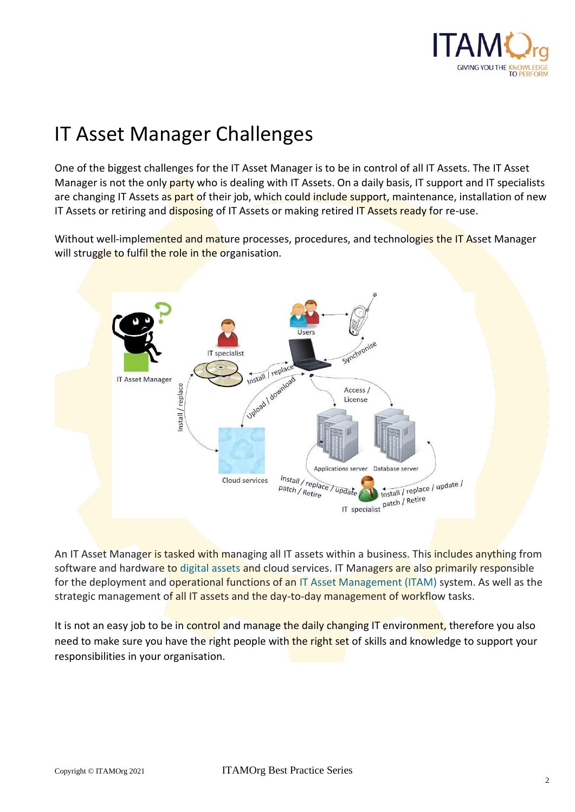

# IT Asset Manager Challenges

One of the biggest challenges for the IT Asset Manager is to be in control of all IT Assets. The IT Asset Manager is not the only party who is dealing with IT Assets. On a daily basis, IT support and IT specialists are changing IT Assets as part of their job, which could include support, maintenance, installation of new IT Assets or retiring and disposing of IT Assets or making retired IT Assets ready for re-use.

Without well-implemented and mature processes, procedures, and technologies the IT Asset Manager will struggle to fulfil the role in the organisation.



An IT Asset Manager is tasked with managing all IT assets within a business. This includes anything from software and hardware to digital assets and cloud services. IT Managers are also primarily responsible for the deployment and operational functions of an IT Asset Management (ITAM) system. As well as the strategic management of all IT assets and the day-to-day management of workflow tasks.

It is not an easy job to be in control and manage the daily changing IT environment, therefore you also need to make sure you have the right people with the right set of skills and knowledge to support your responsibilities in your organisation.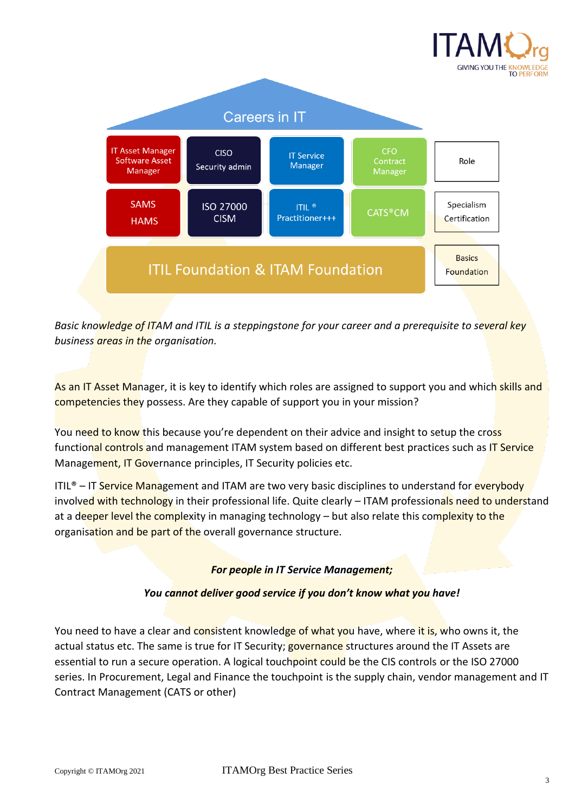



*Basic knowledge of ITAM and ITIL is a steppingstone for your career and a prerequisite to several key business areas in the organisation.* 

As an IT Asset Manager, it is key to identify which roles are assigned to support you and which skills and competencies they possess. Are they capable of support you in your mission?

You need to know this because you're dependent on their advice and insight to setup the cross functional controls and management ITAM system based on different best practices such as IT Service Management, IT Governance principles, IT Security policies etc.

ITIL<sup>®</sup> – IT Service Management and ITAM are two very basic disciplines to understand for everybody involved with technology in their professional life. Quite clearly – ITAM professionals need to understand at a deeper level the complexity in managing technology – but also relate this complexity to the organisation and be part of the overall governance structure.

#### *For people in IT Service Management;*

#### *You cannot deliver good service if you don't know what you have!*

You need to have a clear and consistent knowledge of what you have, where it is, who owns it, the actual status etc. The same is true for IT Security; **governance** structures around the IT Assets are essential to run a secure operation. A logical touchpoint could be the CIS controls or the ISO 27000 series. In Procurement, Legal and Finance the touchpoint is the supply chain, vendor management and IT Contract Management (CATS or other)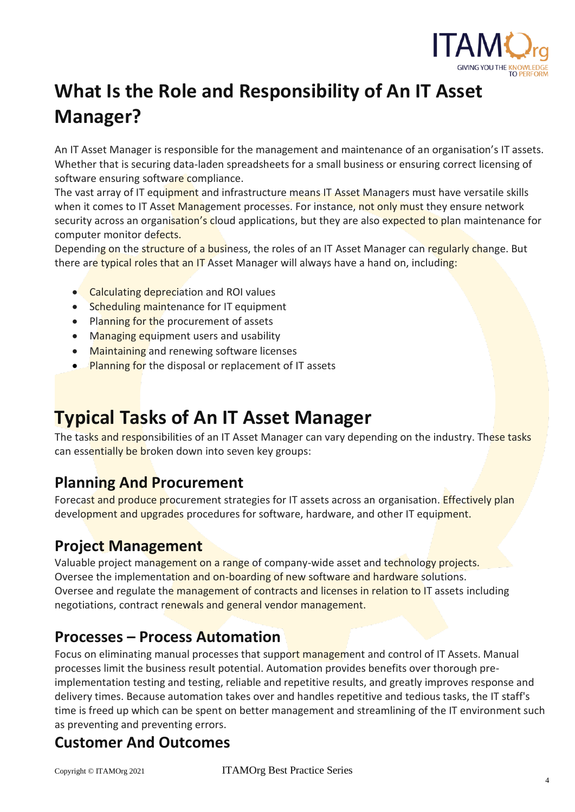

# **What Is the Role and Responsibility of An IT Asset Manager?**

An IT Asset Manager is responsible for the management and maintenance of an organisation's IT assets. Whether that is securing data-laden spreadsheets for a small business or ensuring correct licensing of software ensuring software compliance.

The vast array of IT equipment and infrastructure means IT Asset Managers must have versatile skills when it comes to IT Asset Management processes. For instance, not only must they ensure network security across an organisation's cloud applications, but they are also expected to plan maintenance for computer monitor defects.

Depending on the structure of a business, the roles of an IT Asset Manager can regularly change. But there are typical roles that an IT Asset Manager will always have a hand on, including:

- Calculating depreciation and ROI values
- Scheduling maintenance for IT equipment
- Planning for the procurement of assets
- Managing equipment users and usability
- Maintaining and renewing software licenses
- Planning for the disposal or replacement of IT assets

### **Typical Tasks of An IT Asset Manager**

The tasks and responsibilities of an IT Asset Manager can vary depending on the industry. These tasks can essentially be broken down into seven key groups:

#### **Planning And Procurement**

Forecast and produce procurement strategies for IT assets across an organisation. **Effectively plan** development and upgrades procedures for software, hardware, and other IT equipment.

#### **Project Management**

Valuable project management on a range of company-wide asset and technology projects. Oversee the implementation and on-boarding of new software and hardware solutions. Oversee and regulate the management of contracts and licenses in relation to IT assets including negotiations, contract renewals and general vendor management.

#### **Processes – Process Automation**

Focus on eliminating manual processes that support management and control of IT Assets. Manual processes limit the business result potential. Automation provides benefits over thorough preimplementation testing and testing, reliable and repetitive results, and greatly improves response and delivery times. Because automation takes over and handles repetitive and tedious tasks, the IT staff's time is freed up which can be spent on better management and streamlining of the IT environment such as preventing and preventing errors.

#### **Customer And Outcomes**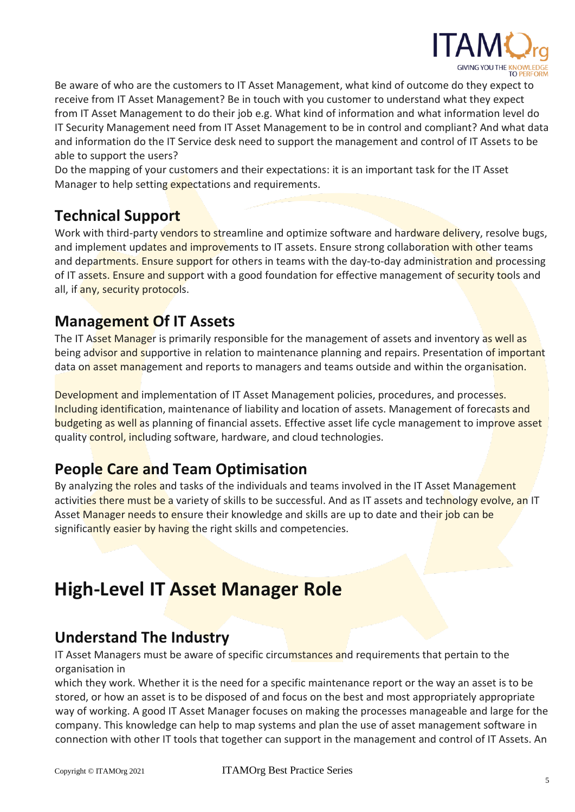

Be aware of who are the customers to IT Asset Management, what kind of outcome do they expect to receive from IT Asset Management? Be in touch with you customer to understand what they expect from IT Asset Management to do their job e.g. What kind of information and what information level do IT Security Management need from IT Asset Management to be in control and compliant? And what data and information do the IT Service desk need to support the management and control of IT Assets to be able to support the users?

Do the mapping of your customers and their expectations: it is an important task for the IT Asset Manager to help setting expectations and requirements.

#### **Technical Support**

Work with third-party vendors to streamline and optimize software and hardware delivery, resolve bugs, and implement updates and improvements to IT assets. Ensure strong collaboration with other teams and departments. Ensure support for others in teams with the day-to-day administration and processing of IT assets. Ensure and support with a good foundation for effective management of security tools and all, if any, security protocols.

#### **Management Of IT Assets**

The IT Asset Manager is primarily responsible for the management of assets and inventory as well as being advisor and supportive in relation to maintenance planning and repairs. Presentation of important data on asset management and reports to managers and teams outside and within the organisation.

Development and implementation of IT Asset Management policies, procedures, and processes. Including identification, maintenance of liability and location of assets. Management of forecasts and budgeting as well as planning of financial assets. Effective asset life cycle management to improve asset quality control, including software, hardware, and cloud technologies.

#### **People Care and Team Optimisation**

By analyzing the roles and tasks of the individuals and teams involved in the IT Asset Management activities there must be a variety of skills to be successful. And as IT assets and technology evolve, an IT Asset Manager needs to ensure their knowledge and skills are up to date and their job can be significantly easier by having the right skills and competencies.

### **High-Level IT Asset Manager Role**

#### **Understand The Industry**

IT Asset Managers must be aware of specific circumstances and requirements that pertain to the organisation in

which they work. Whether it is the need for a specific maintenance report or the way an asset is to be stored, or how an asset is to be disposed of and focus on the best and most appropriately appropriate way of working. A good IT Asset Manager focuses on making the processes manageable and large for the company. This knowledge can help to map systems and plan the use of asset management software in connection with other IT tools that together can support in the management and control of IT Assets. An